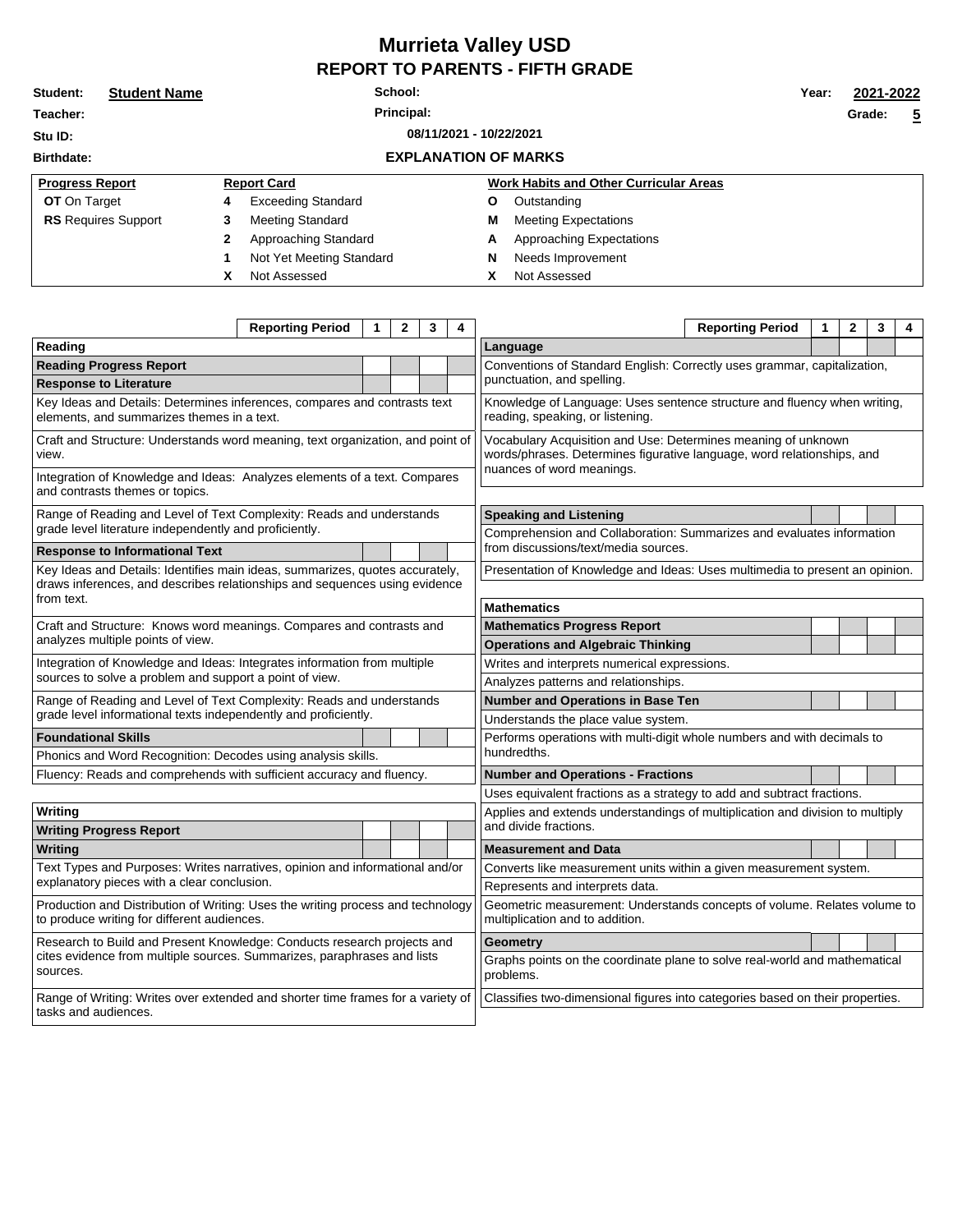## **Murrieta Valley USD REPORT TO PARENTS - FIFTH GRADE**

| Student:                           | <b>Student Name</b> | School:      |                             |  |   |                                               |  | 2021-2022 |                |  |
|------------------------------------|---------------------|--------------|-----------------------------|--|---|-----------------------------------------------|--|-----------|----------------|--|
| Teacher:                           |                     | Principal:   |                             |  |   |                                               |  | Grade:    | $\overline{5}$ |  |
| 08/11/2021 - 10/22/2021<br>Stu ID: |                     |              |                             |  |   |                                               |  |           |                |  |
| <b>Birthdate:</b>                  |                     |              | <b>EXPLANATION OF MARKS</b> |  |   |                                               |  |           |                |  |
| <b>Progress Report</b>             |                     |              | <b>Report Card</b>          |  |   | <b>Work Habits and Other Curricular Areas</b> |  |           |                |  |
| <b>OT</b> On Target                |                     | 4            | <b>Exceeding Standard</b>   |  | Ο | Outstanding                                   |  |           |                |  |
| <b>RS</b> Requires Support         |                     | 3            | Meeting Standard            |  | M | <b>Meeting Expectations</b>                   |  |           |                |  |
|                                    |                     | $\mathbf{2}$ | Approaching Standard        |  | Α | Approaching Expectations                      |  |           |                |  |
|                                    |                     |              | Not Yet Meeting Standard    |  | N | Needs Improvement                             |  |           |                |  |
|                                    |                     | х            | Not Assessed                |  | x | Not Assessed                                  |  |           |                |  |

|                                                                                                                                                                | <b>Reporting Period</b> | 1 | $\mathbf{2}$ | 3 | 4                                                                                                                                                                    |                                                                             | <b>Reporting Period</b> | 1 | 2 | 3 | 4 |  |
|----------------------------------------------------------------------------------------------------------------------------------------------------------------|-------------------------|---|--------------|---|----------------------------------------------------------------------------------------------------------------------------------------------------------------------|-----------------------------------------------------------------------------|-------------------------|---|---|---|---|--|
| Reading                                                                                                                                                        |                         |   |              |   |                                                                                                                                                                      | Language                                                                    |                         |   |   |   |   |  |
| <b>Reading Progress Report</b>                                                                                                                                 |                         |   |              |   |                                                                                                                                                                      | Conventions of Standard English: Correctly uses grammar, capitalization,    |                         |   |   |   |   |  |
| <b>Response to Literature</b>                                                                                                                                  |                         |   |              |   | punctuation, and spelling.                                                                                                                                           |                                                                             |                         |   |   |   |   |  |
| Key Ideas and Details: Determines inferences, compares and contrasts text<br>elements, and summarizes themes in a text.                                        |                         |   |              |   | Knowledge of Language: Uses sentence structure and fluency when writing,<br>reading, speaking, or listening.                                                         |                                                                             |                         |   |   |   |   |  |
| Craft and Structure: Understands word meaning, text organization, and point of<br>view.                                                                        |                         |   |              |   | Vocabulary Acquisition and Use: Determines meaning of unknown<br>words/phrases. Determines figurative language, word relationships, and<br>nuances of word meanings. |                                                                             |                         |   |   |   |   |  |
| Integration of Knowledge and Ideas: Analyzes elements of a text. Compares<br>and contrasts themes or topics.                                                   |                         |   |              |   |                                                                                                                                                                      |                                                                             |                         |   |   |   |   |  |
| Range of Reading and Level of Text Complexity: Reads and understands<br>grade level literature independently and proficiently.                                 |                         |   |              |   | <b>Speaking and Listening</b><br>Comprehension and Collaboration: Summarizes and evaluates information                                                               |                                                                             |                         |   |   |   |   |  |
| <b>Response to Informational Text</b>                                                                                                                          |                         |   |              |   | from discussions/text/media sources.                                                                                                                                 |                                                                             |                         |   |   |   |   |  |
| Key Ideas and Details: Identifies main ideas, summarizes, quotes accurately,                                                                                   |                         |   |              |   |                                                                                                                                                                      |                                                                             |                         |   |   |   |   |  |
| draws inferences, and describes relationships and sequences using evidence                                                                                     |                         |   |              |   |                                                                                                                                                                      | Presentation of Knowledge and Ideas: Uses multimedia to present an opinion. |                         |   |   |   |   |  |
| from text.                                                                                                                                                     |                         |   |              |   |                                                                                                                                                                      | <b>Mathematics</b>                                                          |                         |   |   |   |   |  |
| Craft and Structure: Knows word meanings. Compares and contrasts and                                                                                           |                         |   |              |   |                                                                                                                                                                      |                                                                             |                         |   |   |   |   |  |
| analyzes multiple points of view.                                                                                                                              |                         |   |              |   | <b>Operations and Algebraic Thinking</b>                                                                                                                             |                                                                             |                         |   |   |   |   |  |
| Integration of Knowledge and Ideas: Integrates information from multiple                                                                                       |                         |   |              |   |                                                                                                                                                                      | Writes and interprets numerical expressions.                                |                         |   |   |   |   |  |
| sources to solve a problem and support a point of view.                                                                                                        |                         |   |              |   |                                                                                                                                                                      |                                                                             |                         |   |   |   |   |  |
| Range of Reading and Level of Text Complexity: Reads and understands                                                                                           |                         |   |              |   | Number and Operations in Base Ten                                                                                                                                    |                                                                             |                         |   |   |   |   |  |
| grade level informational texts independently and proficiently.                                                                                                |                         |   |              |   |                                                                                                                                                                      | Understands the place value system.                                         |                         |   |   |   |   |  |
| <b>Foundational Skills</b>                                                                                                                                     |                         |   |              |   | <b>Mathematics Progress Report</b><br>Analyzes patterns and relationships.<br>Performs operations with multi-digit whole numbers and with decimals to<br>hundredths. |                                                                             |                         |   |   |   |   |  |
| Phonics and Word Recognition: Decodes using analysis skills.                                                                                                   |                         |   |              |   |                                                                                                                                                                      |                                                                             |                         |   |   |   |   |  |
| Fluency: Reads and comprehends with sufficient accuracy and fluency.                                                                                           |                         |   |              |   | <b>Number and Operations - Fractions</b>                                                                                                                             |                                                                             |                         |   |   |   |   |  |
|                                                                                                                                                                |                         |   |              |   |                                                                                                                                                                      | Uses equivalent fractions as a strategy to add and subtract fractions.      |                         |   |   |   |   |  |
| Writing                                                                                                                                                        |                         |   |              |   | Applies and extends understandings of multiplication and division to multiply                                                                                        |                                                                             |                         |   |   |   |   |  |
| <b>Writing Progress Report</b>                                                                                                                                 |                         |   |              |   |                                                                                                                                                                      | and divide fractions.                                                       |                         |   |   |   |   |  |
| Writing                                                                                                                                                        |                         |   |              |   |                                                                                                                                                                      | <b>Measurement and Data</b>                                                 |                         |   |   |   |   |  |
| Text Types and Purposes: Writes narratives, opinion and informational and/or<br>explanatory pieces with a clear conclusion.                                    |                         |   |              |   | Converts like measurement units within a given measurement system.                                                                                                   |                                                                             |                         |   |   |   |   |  |
|                                                                                                                                                                |                         |   |              |   | Represents and interprets data.                                                                                                                                      |                                                                             |                         |   |   |   |   |  |
| Production and Distribution of Writing: Uses the writing process and technology<br>to produce writing for different audiences.                                 |                         |   |              |   | Geometric measurement: Understands concepts of volume. Relates volume to<br>multiplication and to addition.                                                          |                                                                             |                         |   |   |   |   |  |
| Research to Build and Present Knowledge: Conducts research projects and<br>cites evidence from multiple sources. Summarizes, paraphrases and lists<br>sources. |                         |   |              |   | <b>Geometry</b>                                                                                                                                                      |                                                                             |                         |   |   |   |   |  |
|                                                                                                                                                                |                         |   |              |   | Graphs points on the coordinate plane to solve real-world and mathematical<br>problems.                                                                              |                                                                             |                         |   |   |   |   |  |
| Range of Writing: Writes over extended and shorter time frames for a variety of<br>tasks and audiences.                                                        |                         |   |              |   | Classifies two-dimensional figures into categories based on their properties.                                                                                        |                                                                             |                         |   |   |   |   |  |